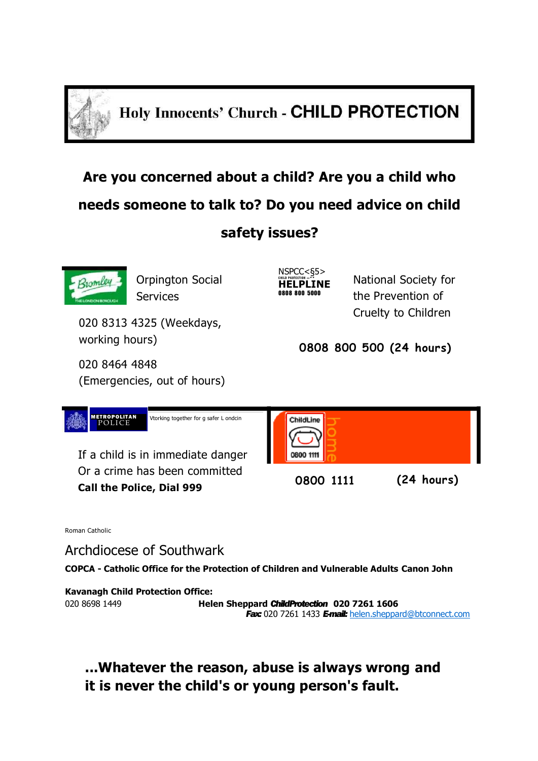

**Holy Innocents' Church - CHILD PROTECTION** 

# **Are you concerned about a child? Are you a child who needs someone to talk to? Do you need advice on child safety issues?**



Orpington Social Services

020 8313 4325 (Weekdays, working hours)

020 8464 4848 (Emergencies, out of hours) NSPCC<§5> C H I L D P K O TC C T I O H *—\*\** **HELPLINE** 0808 800 5000

National Society for the Prevention of Cruelty to Children

**0808 800 500 (24 hours)**



Roman Catholic

Archdiocese of Southwark

**COPCA - Catholic Office for the Protection of Children and Vulnerable Adults Canon John** 

**Kavanagh Child Protection Office:**

020 8698 1449 **Helen Sheppard** *ChildProtection* **020 7261 1606** *Fax:* 020 7261 1433 *E-mail:* [helen.sheppard@btconnect.com](mailto:helen.sheppard@btconnect.com)

**...Whatever the reason, abuse is always wrong and it is never the child's or young person's fault.**